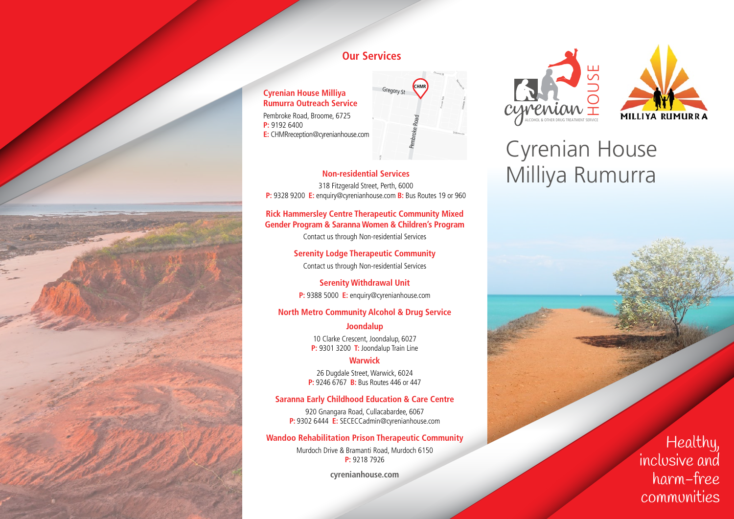

### **Our Services**

**Cyrenian House Milliya Rumurra Outreach Service** Pembroke Road, Broome, 6725 **P:** 9192 6400 **E:** CHMRreception@cyrenianhouse.com



**Non-residential Services** 318 Fitzgerald Street, Perth, 6000 **P:** 9328 9200 **E:** enquiry@cyrenianhouse.com **B:** Bus Routes 19 or 960

### **Rick Hammersley Centre Therapeutic Community Mixed Gender Program & Saranna Women & Children's Program**

Contact us through Non-residential Services

**Serenity Lodge Therapeutic Community** Contact us through Non-residential Services

**Serenity Withdrawal Unit P:** 9388 5000 **E:** enquiry@cyrenianhouse.com

### **North Metro Community Alcohol & Drug Service**

**Joondalup** 10 Clarke Crescent, Joondalup, 6027 **P:** 9301 3200 **T:** Joondalup Train Line

#### **Warwick**

26 Dugdale Street, Warwick, 6024 **P:** 9246 6767 **B:** Bus Routes 446 or 447

### **Saranna Early Childhood Education & Care Centre**

920 Gnangara Road, Cullacabardee, 6067 **P:** 9302 6444 **E:** SECECCadmin@cyrenianhouse.com

### **Wandoo Rehabilitation Prison Therapeutic Community**

Murdoch Drive & Bramanti Road, Murdoch 6150 **P:** 9218 7926

**cyrenianhouse.com**





# Cyrenian House Milliya Rumurra

Healthy, inclusive and harm-free communities